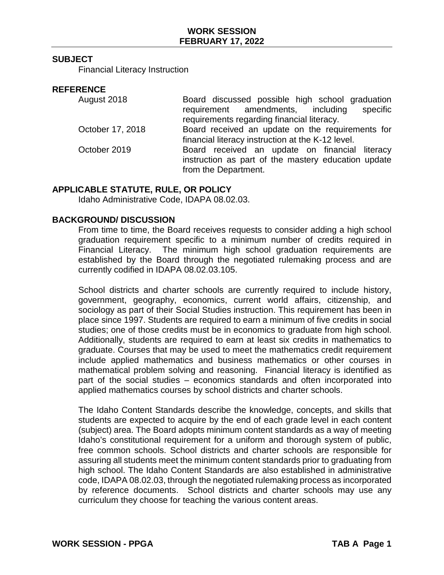#### **SUBJECT**

Financial Literacy Instruction

#### **REFERENCE**

| August 2018      | Board discussed possible high school graduation<br>requirement amendments, including<br>specific<br>requirements regarding financial literacy. |
|------------------|------------------------------------------------------------------------------------------------------------------------------------------------|
| October 17, 2018 | Board received an update on the requirements for<br>financial literacy instruction at the K-12 level.                                          |
| October 2019     | Board received an update on financial literacy<br>instruction as part of the mastery education update<br>from the Department.                  |

### **APPLICABLE STATUTE, RULE, OR POLICY**

Idaho Administrative Code, IDAPA 08.02.03.

#### **BACKGROUND/ DISCUSSION**

From time to time, the Board receives requests to consider adding a high school graduation requirement specific to a minimum number of credits required in Financial Literacy. The minimum high school graduation requirements are established by the Board through the negotiated rulemaking process and are currently codified in IDAPA 08.02.03.105.

School districts and charter schools are currently required to include history, government, geography, economics, current world affairs, citizenship, and sociology as part of their Social Studies instruction. This requirement has been in place since 1997. Students are required to earn a minimum of five credits in social studies; one of those credits must be in economics to graduate from high school. Additionally, students are required to earn at least six credits in mathematics to graduate. Courses that may be used to meet the mathematics credit requirement include applied mathematics and business mathematics or other courses in mathematical problem solving and reasoning. Financial literacy is identified as part of the social studies – economics standards and often incorporated into applied mathematics courses by school districts and charter schools.

The Idaho Content Standards describe the knowledge, concepts, and skills that students are expected to acquire by the end of each grade level in each content (subject) area. The Board adopts minimum content standards as a way of meeting Idaho's constitutional requirement for a uniform and thorough system of public, free common schools. School districts and charter schools are responsible for assuring all students meet the minimum content standards prior to graduating from high school. The Idaho Content Standards are also established in administrative code, IDAPA 08.02.03, through the negotiated rulemaking process as incorporated by reference documents. School districts and charter schools may use any curriculum they choose for teaching the various content areas.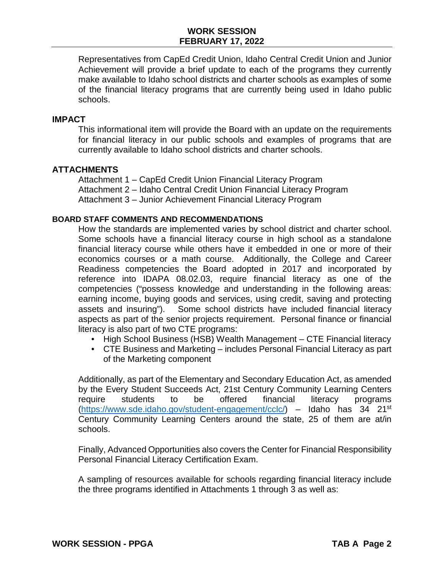Representatives from CapEd Credit Union, Idaho Central Credit Union and Junior Achievement will provide a brief update to each of the programs they currently make available to Idaho school districts and charter schools as examples of some of the financial literacy programs that are currently being used in Idaho public schools.

#### **IMPACT**

This informational item will provide the Board with an update on the requirements for financial literacy in our public schools and examples of programs that are currently available to Idaho school districts and charter schools.

#### **ATTACHMENTS**

Attachment 1 – CapEd Credit Union Financial Literacy Program Attachment 2 – Idaho Central Credit Union Financial Literacy Program Attachment 3 – Junior Achievement Financial Literacy Program

#### **BOARD STAFF COMMENTS AND RECOMMENDATIONS**

How the standards are implemented varies by school district and charter school. Some schools have a financial literacy course in high school as a standalone financial literacy course while others have it embedded in one or more of their economics courses or a math course. Additionally, the College and Career Readiness competencies the Board adopted in 2017 and incorporated by reference into IDAPA 08.02.03, require financial literacy as one of the competencies ("possess knowledge and understanding in the following areas: earning income, buying goods and services, using credit, saving and protecting assets and insuring"). Some school districts have included financial literacy aspects as part of the senior projects requirement. Personal finance or financial literacy is also part of two CTE programs:

- High School Business (HSB) Wealth Management CTE Financial literacy
- CTE Business and Marketing includes Personal Financial Literacy as part of the Marketing component

Additionally, as part of the Elementary and Secondary Education Act, as amended by the Every Student Succeeds Act, 21st Century Community Learning Centers require students to be offered financial literacy programs [\(https://www.sde.idaho.gov/student-engagement/cclc/\)](https://www.sde.idaho.gov/student-engagement/cclc/) – Idaho has 34 21st Century Community Learning Centers around the state, 25 of them are at/in schools.

Finally, Advanced Opportunities also covers the Center for Financial Responsibility Personal Financial Literacy Certification Exam.

A sampling of resources available for schools regarding financial literacy include the three programs identified in Attachments 1 through 3 as well as: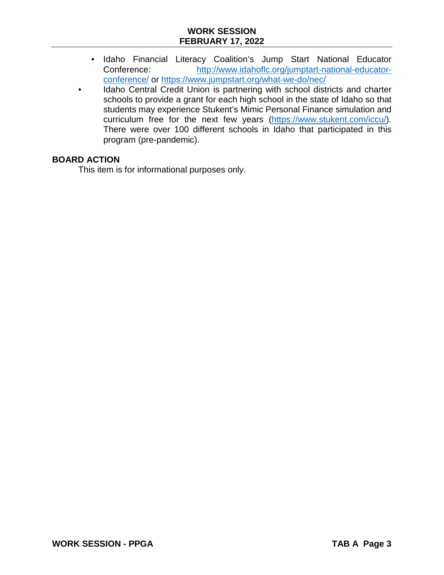### **WORK SESSION FEBRUARY 17, 2022**

- Idaho Financial Literacy Coalition's Jump Start National Educator Conference: [http://www.idahoflc.org/jumptart-national-educator](http://www.idahoflc.org/jumptart-national-educator-conference/)[conference/](http://www.idahoflc.org/jumptart-national-educator-conference/) or <https://www.jumpstart.org/what-we-do/nec/>
- Idaho Central Credit Union is partnering with school districts and charter schools to provide a grant for each high school in the state of Idaho so that students may experience Stukent's Mimic Personal Finance simulation and curriculum free for the next few years [\(https://www.stukent.com/iccu/\)](https://www.stukent.com/iccu/). There were over 100 different schools in Idaho that participated in this program (pre-pandemic).

#### **BOARD ACTION**

This item is for informational purposes only.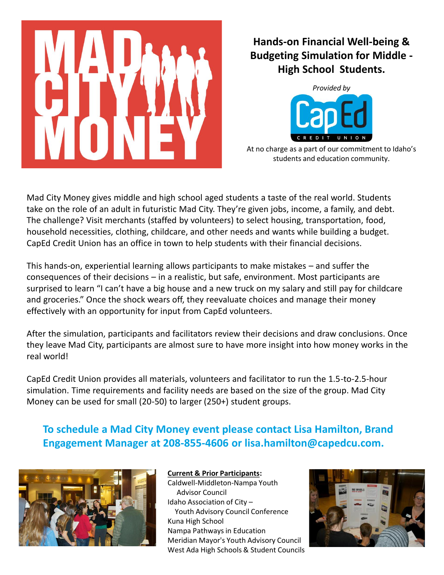

### **Hands-on Financial Well-being & Budgeting Simulation for Middle - High School Students.**



At no charge as a part of our commitment to Idaho's students and education community.

Mad City Money gives middle and high school aged students a taste of the real world. Students take on the role of an adult in futuristic Mad City. They're given jobs, income, a family, and debt. The challenge? Visit merchants (staffed by volunteers) to select housing, transportation, food, household necessities, clothing, childcare, and other needs and wants while building a budget. CapEd Credit Union has an office in town to help students with their financial decisions.

This hands-on, experiential learning allows participants to make mistakes – and suffer the consequences of their decisions – in a realistic, but safe, environment. Most participants are surprised to learn "I can't have a big house and a new truck on my salary and still pay for childcare and groceries." Once the shock wears off, they reevaluate choices and manage their money effectively with an opportunity for input from CapEd volunteers.

After the simulation, participants and facilitators review their decisions and draw conclusions. Once they leave Mad City, participants are almost sure to have more insight into how money works in the real world!

CapEd Credit Union provides all materials, volunteers and facilitator to run the 1.5-to-2.5-hour simulation. Time requirements and facility needs are based on the size of the group. Mad City Money can be used for small (20-50) to larger (250+) student groups.

**To schedule a Mad City Money event please contact Lisa Hamilton, Brand Engagement Manager at 208-855-4606 or lisa.hamilton@capedcu.com.**



#### **Current & Prior Participants:**

Caldwell-Middleton-Nampa Youth Advisor Council Idaho Association of City – Youth Advisory Council Conference Kuna High School Nampa Pathways in Education Meridian Mayor's Youth Advisory Council West Ada High Schools & Student Councils

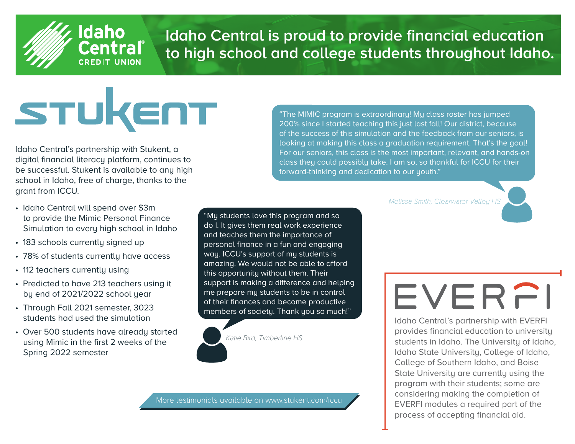

## **® Idaho Central is proud to provide financial education to high school and college students throughout Idaho.**

# STUKENT

Idaho Central's partnership with Stukent, a digital financial literacy platform, continues to be successful. Stukent is available to any high school in Idaho, free of charge, thanks to the grant from ICCU.

**Idaho** 

**CREDIT UNION** 

- Idaho Central will spend over \$3m to provide the Mimic Personal Finance Simulation to every high school in Idaho
- 183 schools currently signed up
- 78% of students currently have access
- 112 teachers currently using
- Predicted to have 213 teachers using it by end of 2021/2022 school year
- Through Fall 2021 semester, 3023 students had used the simulation
- Over 500 students have already started using Mimic in the first 2 weeks of the Spring 2022 semester

"The MIMIC program is extraordinary! My class roster has jumped 200% since I started teaching this just last fall! Our district, because of the success of this simulation and the feedback from our seniors, is looking at making this class a graduation requirement. That's the goal! For our seniors, this class is the most important, relevant, and hands-on class they could possibly take. I am so, so thankful for ICCU for their forward-thinking and dedication to our youth."

Melissa Smith, Clearwater Valley HS

"My students love this program and so do I. It gives them real work experience and teaches them the importance of personal finance in a fun and engaging way. ICCU's support of my students is amazing. We would not be able to afford this opportunity without them. Their support is making a difference and helping me prepare my students to be in control of their finances and become productive members of society. Thank you so much!"

Katie Bird, Timberline HS

## EVERFI

Idaho Central's partnership with EVERFI provides financial education to university students in Idaho. The University of Idaho, Idaho State University, College of Idaho, College of Southern Idaho, and Boise State University are currently using the program with their students; some are considering making the completion of EVERFI modules a required part of the process of accepting financial aid.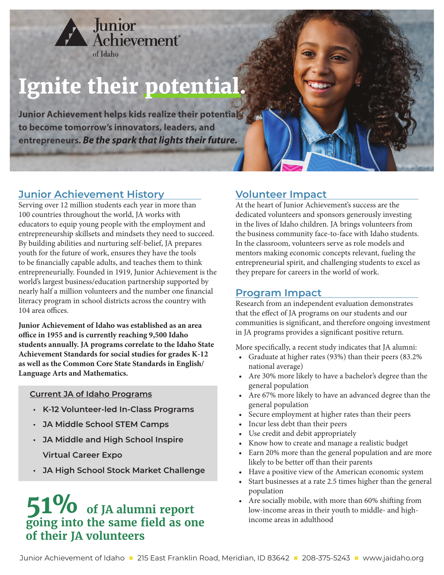

## **Ignite their potential.**

**Junior Achievement helps kids realize their potential to become tomorrow's innovators, leaders, and entrepreneurs. Be the spark that lights their future.**

### **Junior Achievement History**

Serving over 12 million students each year in more than 100 countries throughout the world, JA works with educators to equip young people with the employment and entrepreneurship skillsets and mindsets they need to succeed. By building abilities and nurturing self-belief, JA prepares youth for the future of work, ensures they have the tools to be financially capable adults, and teaches them to think entrepreneurially. Founded in 1919, Junior Achievement is the world's largest business/education partnership supported by nearly half a million volunteers and the number one financial literacy program in school districts across the country with 104 area offices.

**Junior Achievement of Idaho was established as an area**  office in 1955 and is currently reaching 9,500 Idaho **students annually. JA programs correlate to the Idaho State Achievement Standards for social studies for grades K-12 as well as the Common Core State Standards in English/ Language Arts and Mathematics.**

#### **Current JA of Idaho Programs**

- **K-12 Volunteer-led In-Class Programs**
- **JA Middle School STEM Camps**
- **JA Middle and High School Inspire Virtual Career Expo**
- **JA High School Stock Market Challenge**

### **51% of JA alumni report going into the same fi eld as one of their JA volunteers**

### **Volunteer Impact**

At the heart of Junior Achievement's success are the dedicated volunteers and sponsors generously investing in the lives of Idaho children. JA brings volunteers from the business community face-to-face with Idaho students. In the classroom, volunteers serve as role models and mentors making economic concepts relevant, fueling the entrepreneurial spirit, and challenging students to excel as they prepare for careers in the world of work.

### **Program Impact**

Research from an independent evaluation demonstrates that the effect of JA programs on our students and our communities is significant, and therefore ongoing investment in JA programs provides a significant positive return.

More specifically, a recent study indicates that JA alumni:

- Graduate at higher rates (93%) than their peers (83.2% national average)
- Are 30% more likely to have a bachelor's degree than the general population
- Are 67% more likely to have an advanced degree than the general population
- Secure employment at higher rates than their peers
- Incur less debt than their peers
- Use credit and debit appropriately
- Know how to create and manage a realistic budget
- Earn 20% more than the general population and are more likely to be better off than their parents
- Have a positive view of the American economic system
- Start businesses at a rate 2.5 times higher than the general population
- Are socially mobile, with more than 60% shifting from low-income areas in their youth to middle- and highincome areas in adulthood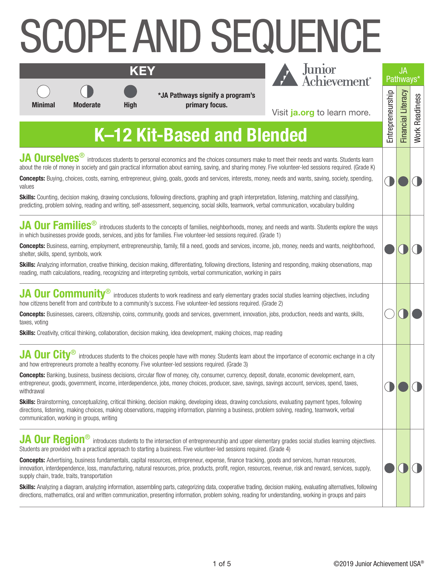## SCOPE AND SEQUENCE **KEY**

**\*JA Pathways signify a program's Minimal Moderate High primary focus.**



| Junior<br>Achievement <sup>®</sup>                                                                                                                                                                                            | <b>JA</b><br>Pathways |                   |
|-------------------------------------------------------------------------------------------------------------------------------------------------------------------------------------------------------------------------------|-----------------------|-------------------|
| Visit ja.org to learn more.<br>nded                                                                                                                                                                                           |                       | <b>Nork Readi</b> |
| meet their needs and wants. Students learn<br>ive volunteer-led sessions required. (Grade K)<br>needs and wants, saving, society, spending,<br>on, listening, matching and classifying,<br>communication, vocabulary building |                       |                   |
| d needs and wants. Students explore the ways<br>(e 1)<br>job, money, needs and wants, neighborhood,<br>and responding, making observations, map<br>pairs                                                                      |                       |                   |
| social studies learning objectives, including<br>de 2)<br>obs, production, needs and wants, skills,<br>ading                                                                                                                  |                       |                   |
| e importance of economic exchange in a city<br>onate, economic development, earn,<br>vings account, services, spend, taxes,                                                                                                   |                       |                   |

**K–12 Kit-Based and Blended**

**JA Ourselves**<sup>®</sup> introduces students to personal economics and the choices consumers make to meet their needs and wants. Students about the role of money in society and gain practical information about earning, saving, and sharing money. Five volunteer-led sessions required. (Gra

**Concepts:** Buying, choices, costs, earning, entrepreneur, giving, goals, goods and services, interests, money, needs and wants, saving, society, spen values

**Skills:** Counting, decision making, drawing conclusions, following directions, graphing and graph interpretation, listening, matching and classifying, predicting, problem solving, reading and writing, self-assessment, sequencing, social skills, teamwork, verbal communication, vocabulary building

| JA Our Families <sup>®</sup> introduces students to the concepts of families, neighborhoods, money, and needs and wants. Students explore the ways |
|----------------------------------------------------------------------------------------------------------------------------------------------------|
| in which businesses provide goods, services, and jobs for families. Five volunteer-led sessions required. (Grade 1)                                |

**Concepts:** Business, earning, employment, entrepreneurship, family, fill a need, goods and services, income, job, money, needs and wants, neighbor shelter, skills, spend, symbols, work

**Skills:** Analyzing information, creative thinking, decision making, differentiating, following directions, listening and responding, making observations, reading, math calculations, reading, recognizing and interpreting symbols, verbal communication, working in pairs

|  |  | JA Our Community <sup>®</sup> introduces students to work readiness and early elementary grades social studies learning objectives, including |  |
|--|--|-----------------------------------------------------------------------------------------------------------------------------------------------|--|
|  |  | how citizens benefit from and contribute to a community's success. Five volunteer-led sessions required. (Grade 2)                            |  |

**Concepts:** Businesses, careers, citizenship, coins, community, goods and services, government, innovation, jobs, production, needs and wants, skills taxes, voting

**Skills:** Creativity, critical thinking, collaboration, decision making, idea development, making choices, map reading

#### **JA Our City**<sup>®</sup> introduces students to the choices people have with money. Students learn about the importance of economic exchange in and how entrepreneurs promote a healthy economy. Five volunteer-led sessions required. (Grade 3)

**Concepts:** Banking, business, business decisions, circular flow of money, city, consumer, currency, deposit, donate, economic development, earn, entrepreneur, goods, government, income, interdependence, jobs, money choices, producer, save, savings, savings account, services, spend, taxes, withdrawal

**Skills:** Brainstorming, conceptualizing, critical thinking, decision making, developing ideas, drawing conclusions, evaluating payment types, following directions, listening, making choices, making observations, mapping information, planning a business, problem solving, reading, teamwork, verbal communication, working in groups, writing

**JA Our Region**<sup>®</sup> introduces students to the intersection of entrepreneurship and upper elementary grades social studies learning objectives. Students are provided with a practical approach to starting a business. Five volunteer-led sessions required. (Grade 4)

**Concepts:** Advertising, business fundamentals, capital resources, entrepreneur, expense, finance tracking, goods and services, human resources, innovation, interdependence, loss, manufacturing, natural resources, price, products, profit, region, resources, revenue, risk and reward, services, supply, supply chain, trade, traits, transportation

**Skills:** Analyzing a diagram, analyzing information, assembling parts, categorizing data, cooperative trading, decision making, evaluating alternatives, following directions, mathematics, oral and written communication, presenting information, problem solving, reading for understanding, working in groups and pairs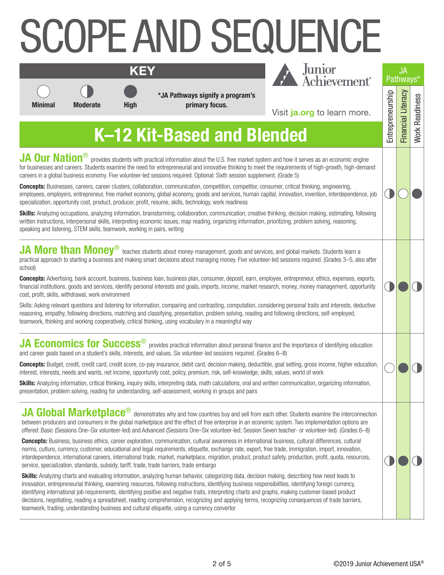# SCOPE AND SEQUENCE



**KEY**

**\*JA Pathways signify a program's Minimal Moderate High primary focus.**



Visit **[ja.org](https://www.juniorachievement.org/web/ja-usa/home.)** to learn more.

| O<br>l     |                  | JA<br>Pathways <sup>®</sup> |                |  |
|------------|------------------|-----------------------------|----------------|--|
|            | Entrepreneurship | <b>Financial Literacy</b>   | Nork Readiness |  |
|            |                  |                             |                |  |
| nd         |                  |                             |                |  |
| job        |                  |                             |                |  |
| ing        |                  |                             |                |  |
| fter       |                  |                             |                |  |
| ts,<br>ity |                  |                             |                |  |
| ive        |                  |                             |                |  |
| n          |                  |                             |                |  |
| $\cdot$    |                  |                             |                |  |

## **K–12 Kit-Based and Blended**

**JA Our Nation**<sup>®</sup> provides students with practical information about the U.S. free market system and how it serves as an economic engine for businesses and careers. Students examine the need for entrepreneurial and innovative thinking to meet the requirements of high-growth, high-deman careers in a global business economy. Five volunteer-led sessions required. Optional: Sixth session supplement. (Grade 5)

**Concepts:** Businesses, careers, career clusters, collaboration, communication, competition, competitor, consumer, critical thinking, engineering, employees, employers, entrepreneur, free market economy, global economy, goods and services, human capital, innovation, invention, interdependence, specialization, opportunity cost, product, producer, profit, resume, skills, technology, work readiness

Skills: Analyzing occupations, analyzing information, brainstorming, collaboration, communication, creative thinking, decision making, estimating, followin written instructions, interpersonal skills, interpreting economic issues, map reading, organizing information, prioritizing, problem solving, reasoning, speaking and listening, STEM skills, teamwork, working in pairs, writing

**JA More than Money**<sup>®</sup> teaches students about money-management, goods and services, and global markets. Students learn a practical approach to starting a business and making smart decisions about managing money. Five volunteer-led sessions required. (Grades 3-5, also at school)

**Concepts:** Advertising, bank account, business, business loan, business plan, consumer, deposit, earn, employee, entrepreneur, ethics, expenses, exports, financial institutions, goods and services, identify personal interests and goals, imports, income, market research, money, money management, opportun cost, profit, skills, withdrawal, work environment

Skills: Asking relevant questions and listening for information, comparing and contrasting, computation, considering personal traits and interests, deducti reasoning, empathy, following directions, matching and classifying, presentation, problem solving, reading and following directions, self-employed, teamwork, thinking and working cooperatively, critical thinking, using vocabulary in a meaningful way

**JA Economics for Success**<sup>®</sup> provides practical information about personal finance and the importance of identifying education and career goals based on a student's skills, interests, and values. Six volunteer-led sessions required. (Grades 6–8)

**Concepts:** Budget, credit, credit card, credit score, co-pay insurance, debit card, decision making, deductible, goal setting, gross income, higher education, interest, interests, needs and wants, net income, opportunity cost, policy, premium, risk, self-knowledge, skills, values, world of work

**Skills:** Analyzing information, critical thinking, inquiry skills, interpreting data, math calculations, oral and written communication, organizing information, presentation, problem solving, reading for understanding, self-assessment, working in groups and pairs

**JA Global Marketplace**<sup>®</sup> demonstrates why and how countries buy and sell from each other. Students examine the interconnection between producers and consumers in the global marketplace and the effect of free enterprise in an economic system. Two implementation options are offered: Basic (Sessions One–Six volunteer-led) and Advanced (Sessions One–Six volunteer-led; Session Seven teacher- or volunteer-led). (Grades 6–8)

**Concepts:** Business, business ethics, career exploration, communication, cultural awareness in international business, cultural differences, cultural norms, culture, currency, customer, educational and legal requirements, etiquette, exchange rate, export, free trade, immigration, import, innovation, interdependence, international careers, international trade, market, marketplace, migration, product, product safety, production, profit, quota, resources, service, specialization, standards, subsidy, tariff, trade, trade barriers, trade embargo

**Skills:** Analyzing charts and evaluating information, analyzing human behavior, categorizing data, decision making, describing how need leads to innovation, entrepreneurial thinking, examining resources, following instructions, identifying business responsibilities, identifying foreign currency, identifying international job requirements, identifying positive and negative traits, interpreting charts and graphs, making customer-based product decisions, negotiating, reading a spreadsheet, reading comprehension, recognizing and applying terms, recognizing consequences of trade barriers, teamwork, trading, understanding business and cultural etiquette, using a currency convertor

 $(\|$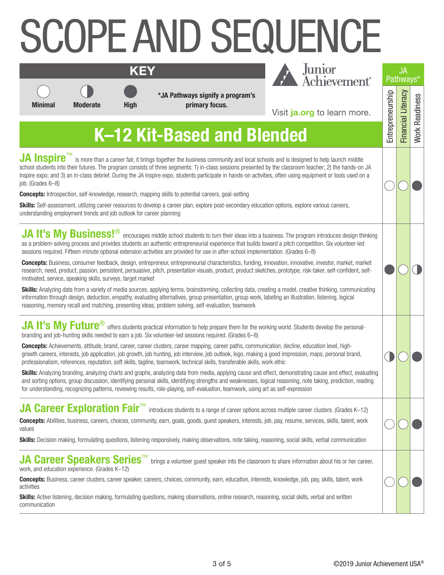# COPE AND SEQUENCE



**\*JA Pathways signify a program's Minimal Moderate High primary focus.**



| Junior<br>Achievement <sup>®</sup>                                                                                                  | <b>JA</b><br>Pathways <sup>*</sup> |                  |
|-------------------------------------------------------------------------------------------------------------------------------------|------------------------------------|------------------|
| Visit ja.org to learn more.                                                                                                         |                                    |                  |
| nded                                                                                                                                |                                    | <b>Vork Read</b> |
| s and is designed to help launch middle<br>the classroom teacher; 2) the hands-on JA<br>s, often using equipment or tools used on a |                                    |                  |
| n options, explore various careers,                                                                                                 |                                    |                  |
| iness. The program introduces design thinking<br>ard a pitch competition. Six volunteer-led<br>ation. (Grades 6–8)                  |                                    |                  |
| ovation, innovative, investor, market, market<br>es, prototype, risk-taker, self-confident, self-                                   |                                    |                  |
| ng a model, creative thinking, communicating<br>eling an illustration, listening, logical                                           |                                    |                  |
| ng world. Students develop the personal-                                                                                            |                                    |                  |
| ttion, decline, education level, high-<br>ood impression, maps, personal brand,<br>< ethic                                          |                                    |                  |
| ct, demonstrating cause and effect, evaluating<br>al reasoning, note taking, prediction, reading<br>as self-expression              |                                    |                  |
| ss multiple career clusters. (Grades K-12)                                                                                          |                                    |                  |

## **K–12 Kit-Based and Blended**

**JA Inspire™** is more than a career fair, it brings together the business community and local schools and is designed to help launch middle school students into their futures. The program consists of three segments: 1) in-class sessions presented by the classroom teacher; 2) the hands-on Inspire expo; and 3) an in-class debrief. During the JA Inspire expo, students participate in hands-on activities, often using equipment or tools used on a job. (Grades 6–8)

**Concepts:** Introspection, self-knowledge, research, mapping skills to potential careers, goal-setting

**KEY**

**Skills:** Self-assessment, utilizing career resources to develop a career plan, explore post-secondary education options, explore various careers, understanding employment trends and job outlook for career planning

JA It's My Business!<sup>®</sup> encourages middle school students to turn their ideas into a business. The program introduces design thir as a problem-solving process and provides students an authentic entrepreneurial experience that builds toward a pitch competition. Six volunteer-led sessions required. Fifteen-minute optional extension activities are provided for use in after-school implementation. (Grades 6–8)

**Concepts:** Business, consumer feedback, design, entrepreneur, entrepreneurial characteristics, funding, innovation, innovative, investor, market, market research, need, product, passion, persistent, persuasive, pitch, presentation visuals, product, product sketches, prototype, risk-taker, self-confident, selfmotivated, service, speaking skills, surveys, target market

**Skills:** Analyzing data from a variety of media sources, applying terms, brainstorming, collecting data, creating a model, creative thinking, communication information through design, deduction, empathy, evaluating alternatives, group presentation, group work, labeling an illustration, listening, logical reasoning, memory recall and matching, presenting ideas, problem solving, self-evaluation, teamwork

**JA It's My Future**<sup>®</sup> offers students practical information to help prepare them for the working world. Students develop the personalbranding and job-hunting skills needed to earn a job. Six volunteer-led sessions required. (Grades 6–8)

**Concepts:** Achievements, attitude, brand, career, career clusters, career mapping, career paths, communication, decline, education level, highgrowth careers, interests, job application, job growth, job hunting, job interview, job outlook, logo, making a good impression, maps, personal brand, professionalism, references, reputation, soft skills, tagline, teamwork, technical skills, transferable skills, work ethic

**Skills:** Analyzing branding, analyzing charts and graphs, analyzing data from media, applying cause and effect, demonstrating cause and effect, evalu and sorting options, group discussion, identifying personal skills, identifying strengths and weaknesses, logical reasoning, note taking, prediction, reading for understanding, recognizing patterns, reviewing results, role-playing, self-evaluation, teamwork, using art as self-expression

### **JA Career Exploration Fair™** introduces students to a range of career options across multiple career clusters. (Grades K–12

**Concepts:** Abilities, business, careers, choices, community, earn, goals, goods, guest speakers, interests, job, pay, resume, services, skills, talent, work values

**Skills:** Decision making, formulating questions, listening responsively, making observations, note taking, reasoning, social skills, verbal communication

#### **JA Career Speakers Series**™ brings a volunteer quest speaker into the classroom to share information about his or her career. work, and education experience. (Grades K–12)

**Concepts:** Business, career clusters, career speaker, careers, choices, community, earn, education, interests, knowledge, job, pay, skills, talent, work activities

**Skills:** Active listening, decision making, formulating questions, making observations, online research, reasoning, social skills, verbal and written communication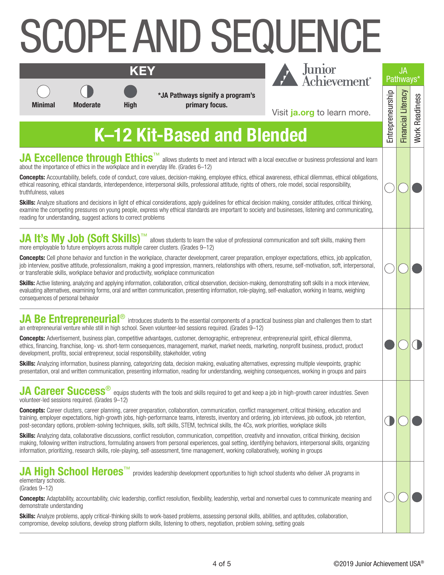# COPE AND SEQUENCE





|                                                                                                                                                        |                 | <b>KEY</b>  |                                                                                                                                                                                                                                                                                                                                                                                                                                                                                                                                                                                                                                                                                                                                                                                                                                                                                                                                                                                                        | Junior<br>Achievement <sup>®</sup>                                                                                                                                  |                  | <b>JA</b><br>Pathways* |                       |
|--------------------------------------------------------------------------------------------------------------------------------------------------------|-----------------|-------------|--------------------------------------------------------------------------------------------------------------------------------------------------------------------------------------------------------------------------------------------------------------------------------------------------------------------------------------------------------------------------------------------------------------------------------------------------------------------------------------------------------------------------------------------------------------------------------------------------------------------------------------------------------------------------------------------------------------------------------------------------------------------------------------------------------------------------------------------------------------------------------------------------------------------------------------------------------------------------------------------------------|---------------------------------------------------------------------------------------------------------------------------------------------------------------------|------------------|------------------------|-----------------------|
| <b>Minimal</b>                                                                                                                                         | <b>Moderate</b> | <b>High</b> | *JA Pathways signify a program's<br>primary focus.                                                                                                                                                                                                                                                                                                                                                                                                                                                                                                                                                                                                                                                                                                                                                                                                                                                                                                                                                     | Visit ja.org to learn more.                                                                                                                                         | Entrepreneurship | Financial Literacy     | <b>Work Readiness</b> |
|                                                                                                                                                        |                 |             | K-12 Kit-Based and Blended                                                                                                                                                                                                                                                                                                                                                                                                                                                                                                                                                                                                                                                                                                                                                                                                                                                                                                                                                                             |                                                                                                                                                                     |                  |                        |                       |
| truthfulness, values<br>reading for understanding, suggest actions to correct problems                                                                 |                 |             | JA Excellence through Ethics <sup>™</sup> allows students to meet and interact with a local executive or business professional and learn<br>about the importance of ethics in the workplace and in everyday life. (Grades 6-12)<br>ethical reasoning, ethical standards, interdependence, interpersonal skills, professional attitude, rights of others, role model, social responsibility,<br>Skills: Analyze situations and decisions in light of ethical considerations, apply guidelines for ethical decision making, consider attitudes, critical thinking,<br>examine the competing pressures on young people, express why ethical standards are important to society and businesses, listening and communicating,                                                                                                                                                                                                                                                                               | <b>Concepts:</b> Accountability, beliefs, code of conduct, core values, decision-making, employee ethics, ethical awareness, ethical dilemmas, ethical obligations, |                  |                        |                       |
| consequences of personal behavior                                                                                                                      |                 |             | JA It's My Job (Soft Skills) <sup>TM</sup> allows students to learn the value of professional communication and soft skills, making them<br>more employable to future employers across multiple career clusters. (Grades 9-12)<br><b>Concepts:</b> Cell phone behavior and function in the workplace, character development, career preparation, employer expectations, ethics, job application,<br>job interview, positive attitude, professionalism, making a good impression, manners, relationships with others, resume, self-motivation, soft, interpersonal,<br>or transferable skills, workplace behavior and productivity, workplace communication<br><b>Skills:</b> Active listening, analyzing and applying information, collaboration, critical observation, decision-making, demonstrating soft skills in a mock interview,<br>evaluating alternatives, examining forms, oral and written communication, presenting information, role-playing, self-evaluation, working in teams, weighing |                                                                                                                                                                     |                  |                        |                       |
| Skills: Analyzing information, business planning, categorizing data, decision making, evaluating alternatives, expressing multiple viewpoints, graphic |                 |             | JA Be Entrepreneurial <sup>®</sup> introduces students to the essential components of a practical business plan and challenges them to start<br>an entrepreneurial venture while still in high school. Seven volunteer-led sessions required. (Grades 9-12)<br><b>Concepts:</b> Advertisement, business plan, competitive advantages, customer, demographic, entrepreneur, entrepreneurial spirit, ethical dilemma,<br>ethics, financing, franchise, long- vs. short-term consequences, management, market, market needs, marketing, nonprofit business, product, product<br>development, profits, social entrepreneur, social responsibility, stakeholder, voting                                                                                                                                                                                                                                                                                                                                     |                                                                                                                                                                     |                  |                        |                       |

**JA Career Success**<sup>®</sup> equips students with the tools and skills required to get and keep a job in high-growth career industries. Ser

volunteer-led sessions required. (Grades 9–12)

**Concepts:** Career clusters, career planning, career preparation, collaboration, communication, conflict management, critical thinking, education and training, employer expectations, high-growth jobs, high-performance teams, interests, inventory and ordering, job interviews, job outlook, job retention, post-secondary options, problem-solving techniques, skills, soft skills, STEM, technical skills, the 4Cs, work priorities, workplace skills

**Skills:** Analyzing data, collaborative discussions, conflict resolution, communication, competition, creativity and innovation, critical thinking, decision making, following written instructions, formulating answers from personal experiences, goal setting, identifying behaviors, interpersonal skills, organizing information, prioritizing, research skills, role-playing, self-assessment, time management, working collaboratively, working in groups

elementary schools. (Grades 9–12)

**JA High School Heroes**™ provides leadership development opportunities to high school students who deliver JA programs in

**Concepts:** Adaptability, accountability, civic leadership, conflict resolution, flexibility, leadership, verbal and nonverbal cues to communicate meaning and demonstrate understanding

**Skills:** Analyze problems, apply critical-thinking skills to work-based problems, assessing personal skills, abilities, and aptitudes, collaboration, compromise, develop solutions, develop strong platform skills, listening to others, negotiation, problem solving, setting goals